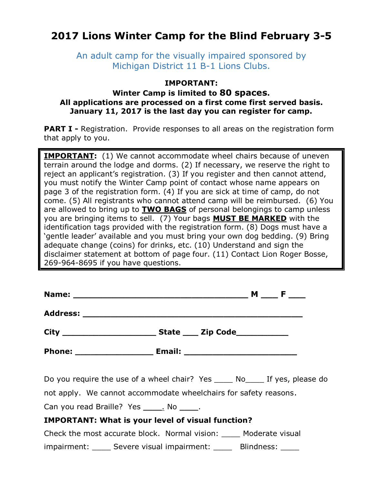# **2017 Lions Winter Camp for the Blind February 3-5**

An adult camp for the visually impaired sponsored by Michigan District 11 B-1 Lions Clubs.

#### **IMPORTANT:**

#### **Winter Camp is limited to 80 spaces. All applications are processed on a first come first served basis. January 11, 2017 is the last day you can register for camp.**

**PART I -** Registration. Provide responses to all areas on the registration form that apply to you.

**IMPORTANT:** (1) We cannot accommodate wheel chairs because of uneven terrain around the lodge and dorms. (2) If necessary, we reserve the right to reject an applicant's registration. (3) If you register and then cannot attend, you must notify the Winter Camp point of contact whose name appears on page 3 of the registration form. (4) If you are sick at time of camp, do not come. (5) All registrants who cannot attend camp will be reimbursed. (6) You are allowed to bring up to **TWO BAGS** of personal belongings to camp unless you are bringing items to sell. (7) Your bags **MUST BE MARKED** with the identification tags provided with the registration form. (8) Dogs must have a 'gentle leader' available and you must bring your own dog bedding. (9) Bring adequate change (coins) for drinks, etc. (10) Understand and sign the disclaimer statement at bottom of page four. (11) Contact Lion Roger Bosse, 269-964-8695 if you have questions.

|                                                                 | $M \_\ F \_\$ |  |
|-----------------------------------------------------------------|---------------|--|
|                                                                 |               |  |
|                                                                 |               |  |
|                                                                 |               |  |
| Do vou require the use of a whool chair? Yes No If yes please o |               |  |

Do you require the use of a wheel chair? Yes \_\_\_\_\_ No\_\_\_\_ If yes, please do

not apply. We cannot accommodate wheelchairs for safety reasons.

Can you read Braille? Yes \_\_\_\_\_. No \_\_\_\_\_.

### **IMPORTANT: What is your level of visual function?**

Check the most accurate block. Normal vision: \_\_\_\_ Moderate visual impairment: Severe visual impairment: Blindness: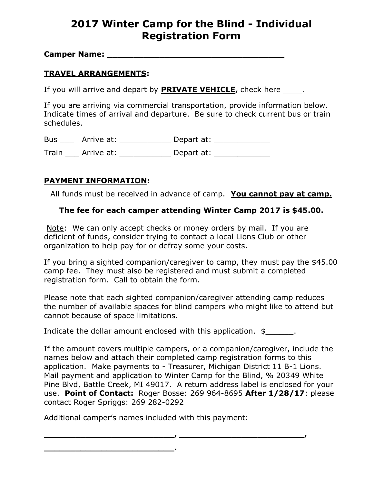# **2017 Winter Camp for the Blind - Individual Registration Form**

**Camper Name:**  $\blacksquare$ 

### **TRAVEL ARRANGEMENTS:**

If you will arrive and depart by **PRIVATE VEHICLE,** check here \_\_\_\_.

If you are arriving via commercial transportation, provide information below. Indicate times of arrival and departure. Be sure to check current bus or train schedules.

Bus \_\_\_\_ Arrive at: \_\_\_\_\_\_\_\_\_\_\_ Depart at: \_\_\_\_\_\_\_\_\_\_\_\_

Train \_\_\_\_ Arrive at: \_\_\_\_\_\_\_\_\_\_\_\_\_\_ Depart at: \_\_\_\_\_\_\_\_\_\_\_

### **PAYMENT INFORMATION:**

All funds must be received in advance of camp. **You cannot pay at camp.**

#### **The fee for each camper attending Winter Camp 2017 is \$45.00.**

Note: We can only accept checks or money orders by mail. If you are deficient of funds, consider trying to contact a local Lions Club or other organization to help pay for or defray some your costs.

If you bring a sighted companion/caregiver to camp, they must pay the \$45.00 camp fee. They must also be registered and must submit a completed registration form. Call to obtain the form.

Please note that each sighted companion/caregiver attending camp reduces the number of available spaces for blind campers who might like to attend but cannot because of space limitations.

Indicate the dollar amount enclosed with this application.  $\frac{2}{2}$ ,

If the amount covers multiple campers, or a companion/caregiver, include the names below and attach their completed camp registration forms to this application. Make payments to - Treasurer, Michigan District 11 B-1 Lions. Mail payment and application to Winter Camp for the Blind, % 20349 White Pine Blvd, Battle Creek, MI 49017. A return address label is enclosed for your use. **Point of Contact:** Roger Bosse: 269 964-8695 **After 1/28/17**: please contact Roger Spriggs: 269 282-0292

**\_\_\_\_\_\_\_\_\_\_\_\_\_\_\_\_\_\_\_\_\_\_\_\_\_, \_\_\_\_\_\_\_\_\_\_\_\_\_\_\_\_\_\_\_\_\_\_\_\_,** 

Additional camper's names included with this payment:

**\_\_\_\_\_\_\_\_\_\_\_\_\_\_\_\_\_\_\_\_\_\_\_\_\_.**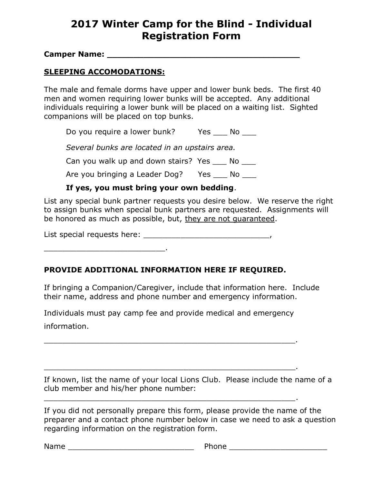# **2017 Winter Camp for the Blind - Individual Registration Form**

**Camper Name: \_\_\_\_\_\_\_\_\_\_\_\_\_\_\_\_\_\_\_\_\_\_\_\_\_\_\_\_\_\_\_\_\_\_\_\_\_** 

### **SLEEPING ACCOMODATIONS:**

\_\_\_\_\_\_\_\_\_\_\_\_\_\_\_\_\_\_\_\_\_\_\_\_\_\_.

The male and female dorms have upper and lower bunk beds. The first 40 men and women requiring lower bunks will be accepted. Any additional individuals requiring a lower bunk will be placed on a waiting list. Sighted companions will be placed on top bunks.

Do you require a lower bunk? Yes \_\_\_ No \_\_\_

*Several bunks are located in an upstairs area.*

Can you walk up and down stairs? Yes No

Are you bringing a Leader Dog? Yes No

### **If yes, you must bring your own bedding**.

List any special bunk partner requests you desire below. We reserve the right to assign bunks when special bunk partners are requested. Assignments will be honored as much as possible, but, they are not guaranteed.

List special requests here: \_\_\_\_\_\_\_\_\_\_\_\_\_\_\_\_\_\_\_\_\_\_\_\_\_\_\_,

### **PROVIDE ADDITIONAL INFORMATION HERE IF REQUIRED.**

If bringing a Companion/Caregiver, include that information here. Include their name, address and phone number and emergency information.

Individuals must pay camp fee and provide medical and emergency information.

\_\_\_\_\_\_\_\_\_\_\_\_\_\_\_\_\_\_\_\_\_\_\_\_\_\_\_\_\_\_\_\_\_\_\_\_\_\_\_\_\_\_\_\_\_\_\_\_\_\_\_\_\_\_.

\_\_\_\_\_\_\_\_\_\_\_\_\_\_\_\_\_\_\_\_\_\_\_\_\_\_\_\_\_\_\_\_\_\_\_\_\_\_\_\_\_\_\_\_\_\_\_\_\_\_\_\_\_\_.

\_\_\_\_\_\_\_\_\_\_\_\_\_\_\_\_\_\_\_\_\_\_\_\_\_\_\_\_\_\_\_\_\_\_\_\_\_\_\_\_\_\_\_\_\_\_\_\_\_\_\_\_\_\_.

If known, list the name of your local Lions Club. Please include the name of a club member and his/her phone number:

If you did not personally prepare this form, please provide the name of the preparer and a contact phone number below in case we need to ask a question regarding information on the registration form.

Name **Name Name Name Name Name** *Name Name Name Name Name Name Name Name Name Name Name Name Name NAME NAME NAME NAME NAME NAME NAME*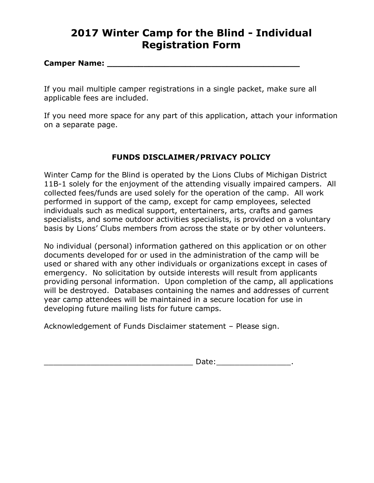# **2017 Winter Camp for the Blind - Individual Registration Form**

#### **Camper Name: \_\_\_\_\_\_\_\_\_\_\_\_\_\_\_\_\_\_\_\_\_\_\_\_\_\_\_\_\_\_\_\_\_\_\_\_\_**

If you mail multiple camper registrations in a single packet, make sure all applicable fees are included.

If you need more space for any part of this application, attach your information on a separate page.

### **FUNDS DISCLAIMER/PRIVACY POLICY**

Winter Camp for the Blind is operated by the Lions Clubs of Michigan District 11B-1 solely for the enjoyment of the attending visually impaired campers. All collected fees/funds are used solely for the operation of the camp. All work performed in support of the camp, except for camp employees, selected individuals such as medical support, entertainers, arts, crafts and games specialists, and some outdoor activities specialists, is provided on a voluntary basis by Lions' Clubs members from across the state or by other volunteers.

No individual (personal) information gathered on this application or on other documents developed for or used in the administration of the camp will be used or shared with any other individuals or organizations except in cases of emergency. No solicitation by outside interests will result from applicants providing personal information. Upon completion of the camp, all applications will be destroyed. Databases containing the names and addresses of current year camp attendees will be maintained in a secure location for use in developing future mailing lists for future camps.

Acknowledgement of Funds Disclaimer statement – Please sign.

\_\_\_\_\_\_\_\_\_\_\_\_\_\_\_\_\_\_\_\_\_\_\_\_\_\_\_\_\_\_\_\_ Date:\_\_\_\_\_\_\_\_\_\_\_\_\_\_\_\_.